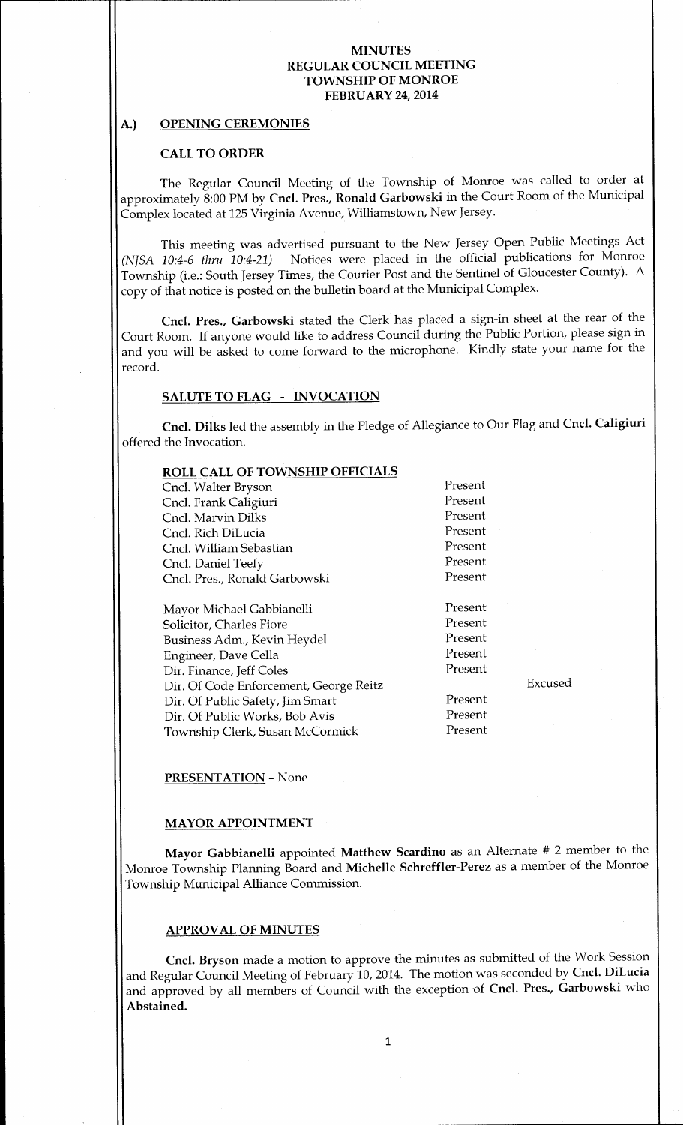### A.) OPENING CEREMONIES

### CALL TO ORDER

The Regular Council Meeting of the Township of Monroe was called to order at approximately 8:00 PM by Cncl. Pres., Ronald Garbowski in the Court Room of the Municipal Complex located at 125 Virginia Avenue, Williamstown, New Jersey.

This meeting was advertised pursuant to the New Jersey Open Public Meetings Act (NJSA 10:4-6 thru  $10:4-21$ ). Notices were placed in the official publications for Monroe Township (i.e.: South Jersey Times, the Courier Post and the Sentinel of Gloucester County). <sup>A</sup> copy of that notice is posted on the bulletin board at the Municipal Complex.

Cncl. Pres., Garbowski stated the Clerk has placed a sign-in sheet at the rear of the Court Room. If anyone would like to address Council during the Public Portion, please sign in and you will be asked to come forward to the microphone. Kindly state your name for the record.

## SALUTE TO FLAG - INVOCATION

Cncl. Dilks led the assembly in the Pledge of Allegiance to Our Flag and Cncl. Caligiuri offered the Invocation.

### ROLL CALL OF TOWNSHIP OFFICIALS

Cncl. Walter Bryson Present Cncl. Frank Caligiuri Present<br>
Present<br>
Present Cncl. Marvin Dilks Cncl. Rich DiLucia Present Cncl. William Sebastian **Present** Cncl. Daniel Teefy<br>
Cncl. Pres.. Ronald Garbowski<br>
Present Cncl. Pres., Ronald Garbowski

Mayor Michael Gabbianelli<br>
Solicitor, Charles Fiore<br>
Present Solicitor, Charles Fiore Present Business Adm., Kevin Heydel Engineer, Dave Cella Present Dir. Finance, Jeff Coles Present Dir. Of Code Enforcement, George Reitz Fig. 2014 Dir. Of Public Safety, Jim Smart Present<br>
Dir. Of Public Works, Bob Avis Dir. Of Public Works, Bob Avis<br>Township Clerk Susan McCormick Present Township Clerk, Susan McCormick

### PRESENTATION - None

### MAYOR APPOINTMENT

Mayor Gabbianelli appointed Matthew Scardino as an Alternate # <sup>2</sup> member to the Monroe Township Planning Board and Michelle Schreffler-Perez as a member of the Monroe Township Municipal Alliance Commission.

#### APPROVAL OF MINUTES

Cncl. Bryson made a motion to approve the minutes as submitted of the Work Session and Regular Council Meeting of February 10, 2014. The motion was seconded by Cncl. DiLucia and approved by all members of Council with the exception of Cncl. Pres., Garbowski who Abstained.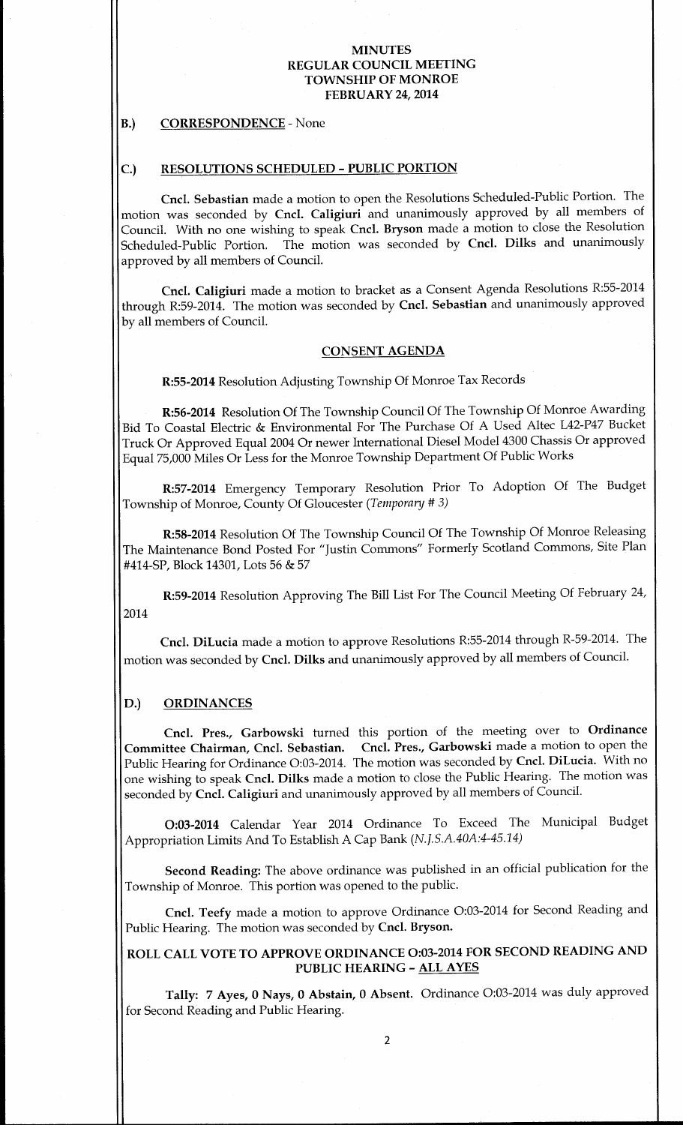### B.) CORRESPONDENCE - None

## C.) RESOLUTIONS SCHEDULED - PUBLIC PORTION

Cncl. Sebastian made a motion to open the Resolutions Scheduled-Public Portion. The motion was seconded by Cncl. Caligiuri and unanimously approved by all members of Council. With no one wishing to speak Cncl. Bryson made <sup>a</sup> motion to close the Resolution Scheduled-Public Portion. The motion was seconded by Cncl. Dilks and unanimously approved by all members of Council.

Cncl. Caligiuri made <sup>a</sup> motion to bracket as a Consent Agenda Resolutions R:55- 2014 through R:59-2014. The motion was seconded by Cncl. Sebastian and unanimously approved by all members of Council.

### CONSENT AGENDA

R:55- 2014 Resolution Adjusting Township Of Monroe Tax Records

R:56-2014 Resolution Of The Township Council Of The Township Of Monroe Awarding Bid To Coastal Electric & Environmental For The Purchase Of A Used Altec L42-P47 Bucket Truck Or Approved Equal 2004 Or newer International Diesel Model 4300 Chassis Or approved Equal 75,000 Miles Or Less for the Monroe Township Department Of Public Works

R:57-2014 Emergency Temporary Resolution Prior To Adoption Of The Budget Township of Monroe, County Of Gloucester (Temporary # 3)

R:58-2014 Resolution Of The Township Council Of The Township Of Monroe Releasing The Maintenance Bond Posted For " Justin Commons" Formerly Scotland Commons, Site Plan 414-SP, Block 14301, Lots 56 & 57

R:59-2014 Resolution Approving The Bill List For The Council Meeting Of February 24, 2014

Cncl. DiLucia made a motion to approve Resolutions R:55-2014 through R-59-2014. The motion was seconded by Cncl. Dilks and unanimously approved by all members of Council.

### D.) ORDINANCES

Cncl. Pres., Garbowski turned this portion of the meeting over to Ordinance Committee Chairman, Cncl. Sebastian. Cncl. Pres., Garbowski made <sup>a</sup> motion to open the Public Hearing for Ordinance O:03-2014. The motion was seconded by Cncl. DiLucia. With no one wishing to speak Cncl. Dilks made <sup>a</sup> motion to close the Public Hearing. The motion was seconded by Cncl. Caligiuri and unanimously approved by all members of Council.

0:03- <sup>2014</sup> Calendar Year <sup>2014</sup> Ordinance To Exceed The Municipal Budget Appropriation Limits And To Establish A Cap Bank (N.J.S.A.40A:4-45.14)

Second Reading: The above ordinance was published in an official publication for the Township of Monroe. This portion was opened to the public.

Cncl. Teefy made <sup>a</sup> motion to approve Ordinance 0:03-2014 for Second Reading and Public Hearing. The motion was seconded by Cncl. Bryson.

# ROLL CALL VOTE TO APPROVE ORDINANCE 0:03-2014 FOR SECOND READING AND PUBLIC HEARING - ALL AYES

Tally: <sup>7</sup> Ayes, <sup>0</sup> Nays, <sup>0</sup> Abstain, <sup>0</sup> Absent. Ordinance 0:03-2014 was duly approved for Second Reading and Public Hearing.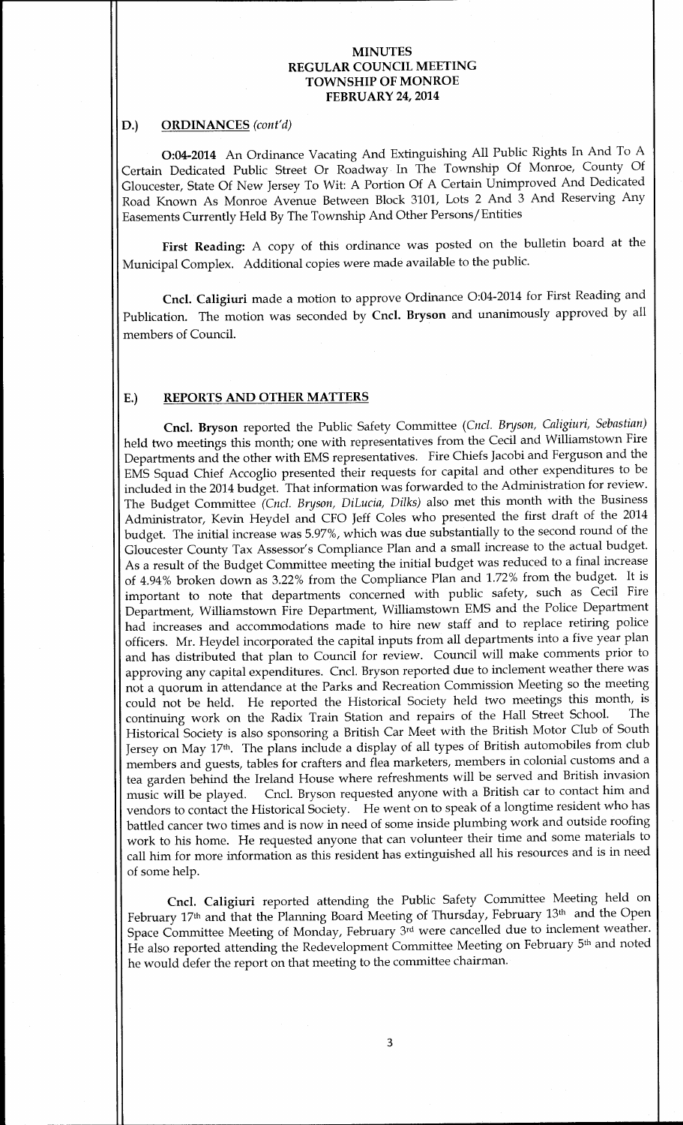### D.) ORDINANCES (cont'd)

0:04-2014 An Ordinance Vacating And Extinguishing All Public Rights In And To A Certain Dedicated Public Street Or Roadway In The Township Of Monroe, County Of Gloucester, State Of New Jersey To Wit: A Portion Of A Certain Unimproved And Dedicated Road Known As Monroe Avenue Between Block 3101, Lots 2 And <sup>3</sup> And Reserving Any Easements Currently Held By The Township And Other Persons/ Entities

First Reading: A copy of this ordinance was posted on the bulletin board at the Municipal Complex. Additional copies were made available to the public.

Cncl. Caligiuri made a motion to approve Ordinance O:04-2014 for First Reading and Publication. The motion was seconded by Cncl. Bryson and unanimously approved by all members of Council.

#### E.) REPORTS AND OTHER MATTERS

Cncl. Bryson reported the Public Safety Committee (Cncl. Bryson, Caligiuri, Sebastian) held two meetings this month; one with representatives from the Cecil and Williamstown Fire Departments and the other with EMS representatives. Fire Chiefs Jacobi and Ferguson and the EMS Squad Chief Accoglio presented their requests for capital and other expenditures to be included in the 2014 budget. That information was forwarded to the Administration for review. The Budget Committee (Cncl. Bryson, DiLucia, Dilks) also met this month with the Business Administrator, Kevin Heydel and CFO Jeff Coles who presented the first draft of the 2014 budget. The initial increase was 5.97%, which was due substantially to the second round of the Gloucester County Tax Assessor's Compliance Plan and a small increase to the actual budget. As <sup>a</sup> result of the Budget Committee meeting the initial budget was reduced to <sup>a</sup> final increase of 4.94% broken down as 3. 22% from the Compliance Plan and 1. 72% from the budget. It is important to note that departments concerned with public safety, such as Cecil Fire Department, Williamstown Fire Department, Williamstown EMS and the Police Department had increases and accommodations made to hire new staff and to replace retiring police officers. Mr. Heydel incorporated the capital inputs from all departments into <sup>a</sup> five year plan and has distributed that plan to Council for review. Council will make comments prior to approving any capital expenditures. Cncl. Bryson reported due to inclement weather there was not a quorum in attendance at the Parks and Recreation Commission Meeting so the meeting could not be held. He reported the Historical Society held two meetings this month, is continuing work on the Radix Train Station and repairs of the Hall Street School. Historical Society is also sponsoring <sup>a</sup> British Car Meet with the British Motor Club of South Jersey on May 17th. The plans include <sup>a</sup> display of all types of British automobiles from club members and guests, tables for crafters and flea marketers, members in colonial customs and a tea garden behind the Ireland House where refreshments will be served and British invasion music will be played. Cncl. Bryson requested anyone with <sup>a</sup> British car to contact him and vendors to contact the Historical Society. He went on to speak of <sup>a</sup> longtime resident who has battled cancer two times and is now in need of some inside plumbing work and outside roofing work to his home. He requested anyone that can volunteer their time and some materials to call him for more information as this resident has extinguished all his resources and is in need of some help.

Cncl. Caligiuri reported attending the Public Safety Committee Meeting held on February 17th and that the Planning Board Meeting of Thursday, February 13th and the Open Space Committee Meeting of Monday, February 3rd were cancelled due to inclement weather. He also reported attending the Redevelopment Committee Meeting on February 5th and noted he would defer the report on that meeting to the committee chairman.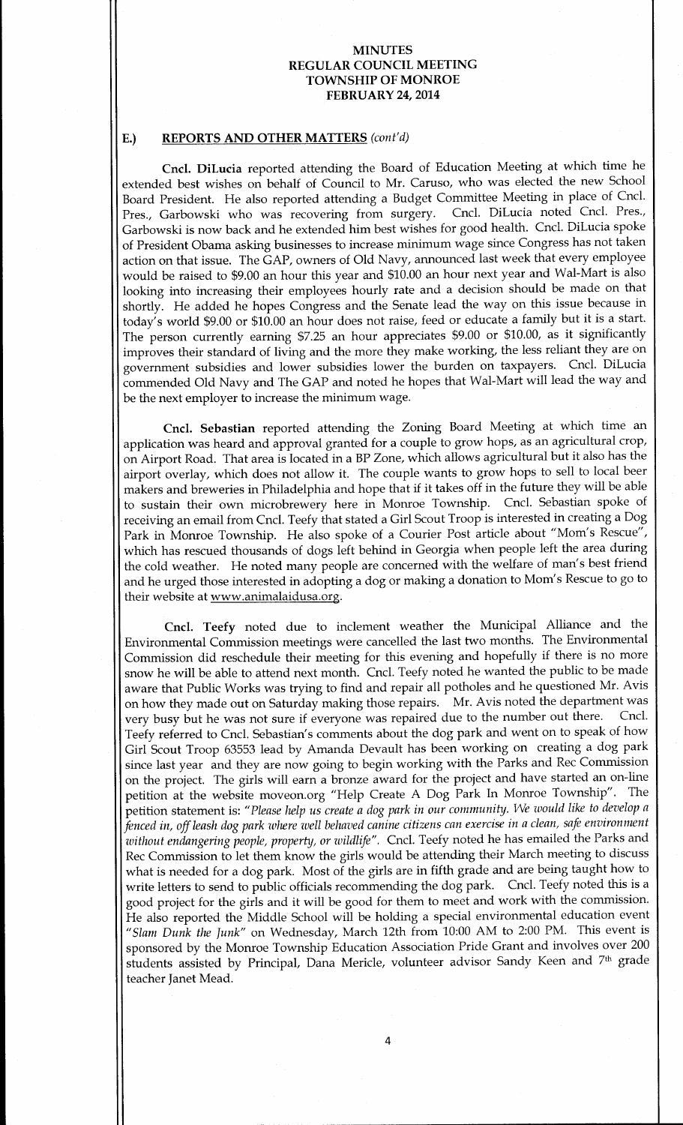## E.) REPORTS AND OTHER MATTERS (cont'd)

Cncl. DiLucia reported attending the Board of Education Meeting at which time he extended best wishes on behalf of Council to Mr. Caruso, who was elected the new School Board President. He also reported attending <sup>a</sup> Budget Committee Meeting in place of Cncl. Pres., Garbowski who was recovering from surgery. Cncl. DiLucia noted Cncl. Pres., Garbowski is now back and he extended him best wishes for good health. Cncl. DiLucia spoke of President Obama asking businesses to increase minimum wage since Congress has not taken action on that issue. The GAP, owners of Old Navy, announced last week that every employee would be raised to \$9.00 an hour this year and \$10.00 an hour next year and Wal-Mart is also looking into increasing their employees hourly rate and a decision should be made on that shortly. He added he hopes Congress and the Senate lead the way on this issue because in today's world \$9.00 or \$10.00 an hour does not raise, feed or educate a family but it is a start. The person currently earning \$7.25 an hour appreciates \$9.00 or \$10.00, as it significantly improves their standard of living and the more they make working, the less reliant they are on government subsidies and lower subsidies lower the burden on taxpayers. Cncl. DiLucia commended Old Navy and The GAP and noted he hopes that Wal-Mart will lead the way and be the next employer to increase the minimum wage.

Cncl. Sebastian reported attending the Zoning Board Meeting at which time an application was heard and approval granted for a couple to grow hops, as an agricultural crop, on Airport Road. That area is located in <sup>a</sup> BP Zone, which allows agricultural but it also has the airport overlay, which does not allow it. The couple wants to grow hops to sell to local beer makers and breweries in Philadelphia and hope that if it takes off in the future they will be able to sustain their own microbrewery here in Monroe Township. Cncl. Sebastian spoke of receiving an email from Cncl. Teefy that stated a Girl Scout Troop is interested in creating a Dog Park in Monroe Township. He also spoke of a Courier Post article about "Mom's Rescue", which has rescued thousands of dogs left behind in Georgia when people left the area during the cold weather. He noted many people are concerned with the welfare of man's best friend and he urged those interested in adopting a dog or making a donation to Mom's Rescue to go to their website at www.animalaidusa.org.

Cncl. Teefy noted due to inclement weather the Municipal Alliance and the Environmental Commission meetings were cancelled the last two months. The Environmental Commission did reschedule their meeting for this evening and hopefully if there is no more snow he will be able to attend next month. Cncl. Teefy noted he wanted the public to be made aware that Public Works was trying to find and repair all potholes and he questioned Mr. Avis on how they made out on Saturday making those repairs. Mr. Avis noted the department was very husy but he was not sure if everyone was repaired due to the number out there. Cncl. very busy but he was not sure if everyone was repaired due to the number out there. Teefy referred to Cncl. Sebastian's comments about the dog park and went on to speak of how Girl Scout Troop 63553 lead by Amanda Devault has been working on creating <sup>a</sup> dog park since last year and they are now going to begin working with the Parks and Rec Commission on the project. The girls will earn <sup>a</sup> bronze award for the project and have started an on-line petition at the website moveon.org " Help Create A Dog Park In Monroe Township". The petition statement is: " Please help us create <sup>a</sup> dog park in our community. We would like to develop <sup>a</sup> fenced in, off leash dog park where well behaved canine citizens can exercise in a clean, safe environment without endangering people, property, or wildlife". Cncl. Teefy noted he has emailed the Parks and Rec Commission to let them know the girls would be attending their March meeting to discuss what is needed for <sup>a</sup> dog park. Most of the girls are in fifth grade and are being taught how to write letters to send to public officials recommending the dog park. Cncl. Teefy noted this is <sup>a</sup> good project for the girls and it will be good for them to meet and work with the commission. He also reported the Middle School will be holding <sup>a</sup> special environmental education event "Slam Dunk the Junk" on Wednesday, March 12th from 10:00 AM to 2:00 PM. This event is sponsored by the Monroe Township Education Association Pride Grant and involves over 200 students assisted by Principal, Dana Mericle, volunteer advisor Sandy Keen and 7th grade teacher Janet Mead.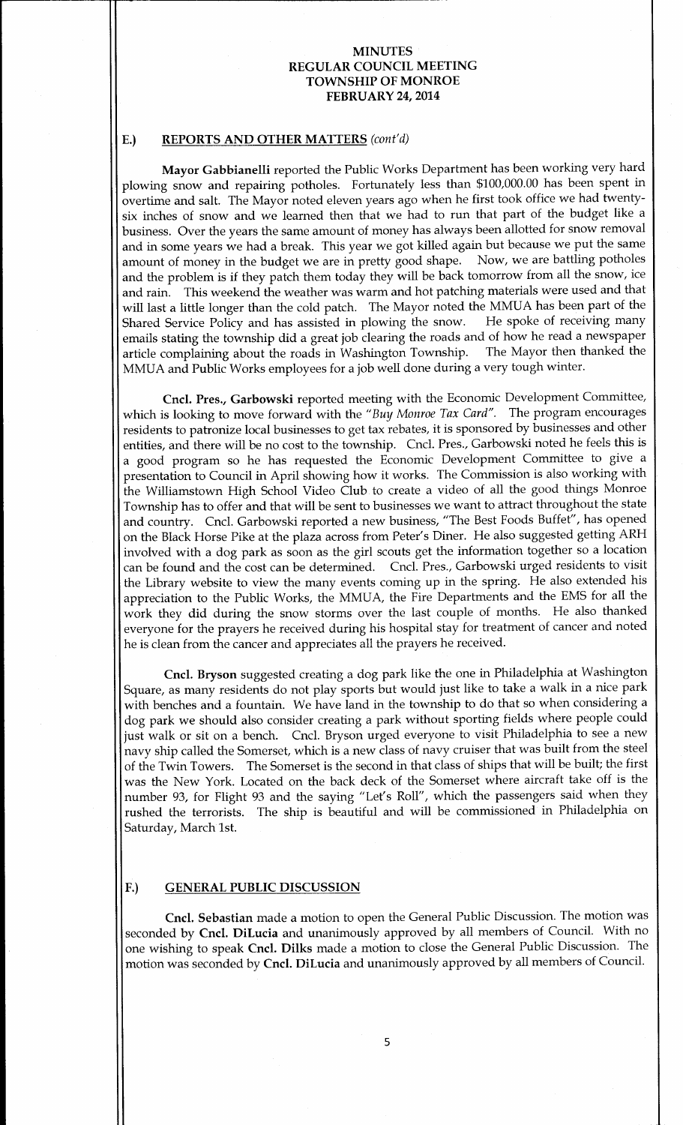## E.) REPORTS AND OTHER MATTERS (cont'd)

Mayor Gabbianelli reported the Public Works Department has been working very hard plowing snow and repairing potholes. Fortunately less than \$100,000.00 has been spent in overtime and salt. The Mayor noted eleven years ago when he first took office we had twentysix inches of snow and we learned then that we had to run that part of the budget like <sup>a</sup> business. Over the years the same amount of money has always been allotted for snow removal and in some years we had a break. This year we got killed again but because we put the same amount of money in the budget we are in pretty good shape. Now, we are battling potholes and the problem is if they patch them today they will be back tomorrow from all the snow, ice and rain. This weekend the weather was warm and hot patching materials were used and that will last a little longer than the cold patch. The Mayor noted the MMUA has been part of the<br>Shared Service Policy and has assisted in plowing the snow. He spoke of receiving many Shared Service Policy and has assisted in plowing the snow. emails stating the township did a great job clearing the roads and of how he read a newspaper<br>article complaining about the roads in Washington Township. The Mayor then thanked the article complaining about the roads in Washington Township. MMUA and Public Works employees for <sup>a</sup> job well done during a very tough winter.

Cncl. Pres., Garbowski reported meeting with the Economic Development Committee, which is looking to move forward with the "Buy Monroe Tax Card". The program encourages residents to patronize local businesses to get tax rebates, it is sponsored by businesses and other entities, and there will be no cost to the township. Cncl. Pres., Garbowski noted he feels this is a good program so he has requested the Economic Development Committee to give a presentation to Council in April showing how it works. The Commission is also working with the Williamstown High School Video Club to create a video of all the good things Monroe Township has to offer and that will be sent to businesses we want to attract throughout the state and country. Cncl. Garbowski reported <sup>a</sup> new business, " The Best Foods Buffet", has opened on the Black Horse Pike at the plaza across from Peter's Diner. He also suggested getting ARH involved with <sup>a</sup> dog park as soon as the girl scouts get the information together so <sup>a</sup> location can be found and the cost can be determined. Cncl. Pres., Garbowski urged residents to visit the Library website to view the many events coming up in the spring. He also extended his appreciation to the Public Works, the MMUA, the Fire Departments and the EMS for all the work they did during the snow storms over the last couple of months. He also thanked everyone for the prayers he received during his hospital stay for treatment of cancer and noted he is clean from the cancer and appreciates all the prayers he received.

Cncl. Bryson suggested creating <sup>a</sup> dog park like the one in Philadelphia at Washington Square, as many residents do not play sports but would just like to take <sup>a</sup> walk in <sup>a</sup> nice park with benches and <sup>a</sup> fountain. We have land in the township to do that so when considering <sup>a</sup> dog park we should also consider creating <sup>a</sup> park without sporting fields where people could just walk or sit on <sup>a</sup> bench. Cncl. Bryson urged everyone to visit Philadelphia to see <sup>a</sup> new navy ship called the Somerset, which is <sup>a</sup> new class of navy cruiser that was built from the steel of the Twin Towers. The Somerset is the second in that class of ships that will be built; the first was the New York. Located on the back deck of the Somerset where aircraft take off is the number 93, for Flight 93 and the saying "Let's Roll", which the passengers said when they rushed the terrorists. The ship is beautiful and will be commissioned in Philadelphia on Saturday, March 1st.

### F.) GENERAL PUBLIC DISCUSSION

Cncl. Sebastian made a motion to open the General Public Discussion. The motion was seconded by Cncl. DiLucia and unanimously approved by all members of Council. With no one wishing to speak Cncl. Dilks made <sup>a</sup> motion to close the General Public Discussion. The motion was seconded by Cncl. DiLucia and unanimously approved by all members of Council.